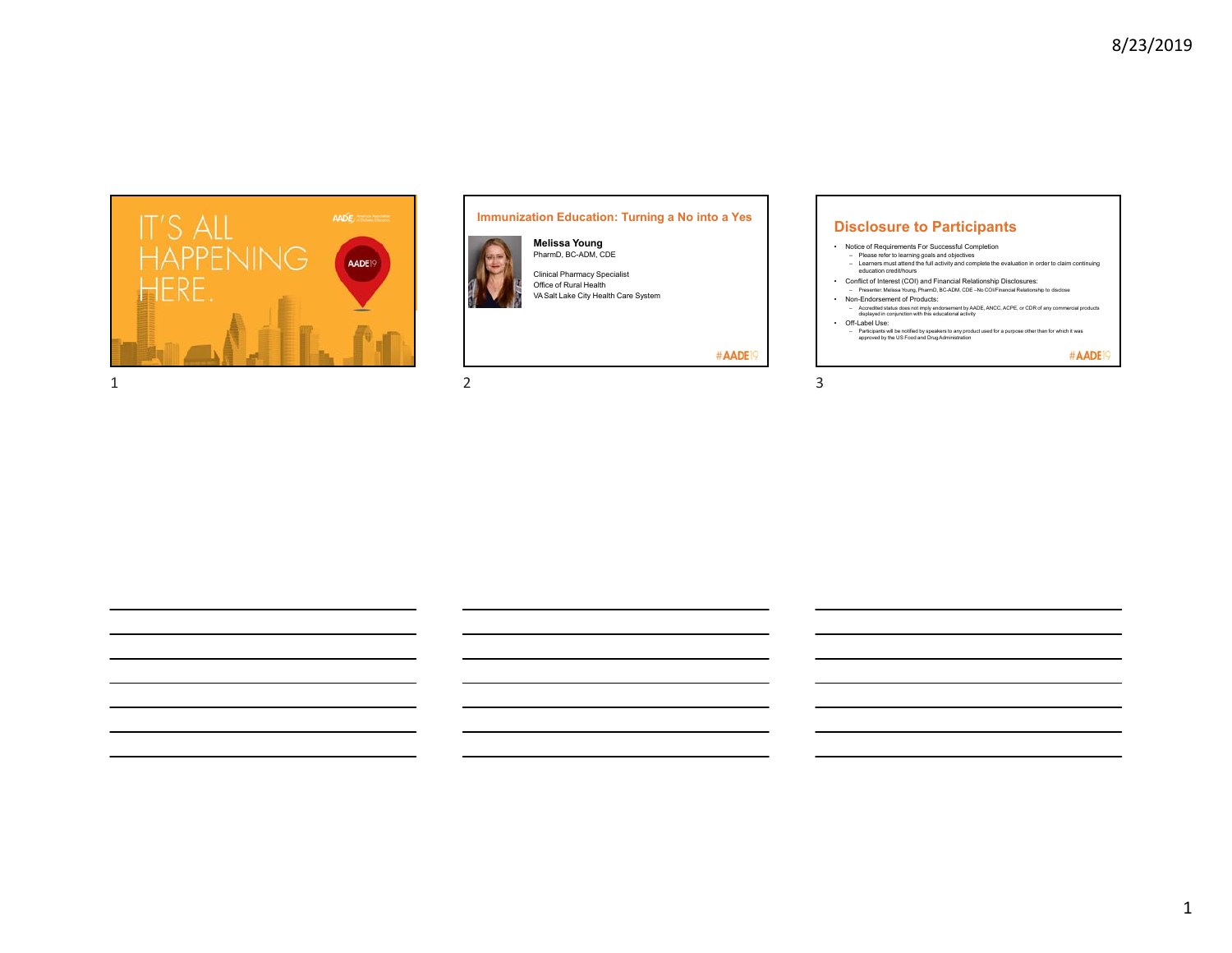

# **Immunization Education: Turning a No into a Yes Disclosure to Participants**





Clinical Pharmacy Specialist VA Salt Lake City Health Care System

#AADE<sup>19</sup>

- Notice of Requirements For Successful Completion – Please refer to learning goals and objectives – Learners must attend the full activity and complete the evaluation in order to claim continuing education credit/hours • Conflict of Interest (COI) and Financial Relationship Disclosures: – Presenter: Melissa Young, PharmD, BC-ADM, CDE –No COI/Financial Relationship to disclose
- Non-Endorsement of Products:
	- Accredited status does not imply endorsement by AADE, ANCC, ACPE, or CDR of any commercial products displayed in conjunction with this educational activity
- Off-Label Use: – Participants will be notified by speakers to any product used for a purpose other than for which it was approved by the US Food and DrugAdministration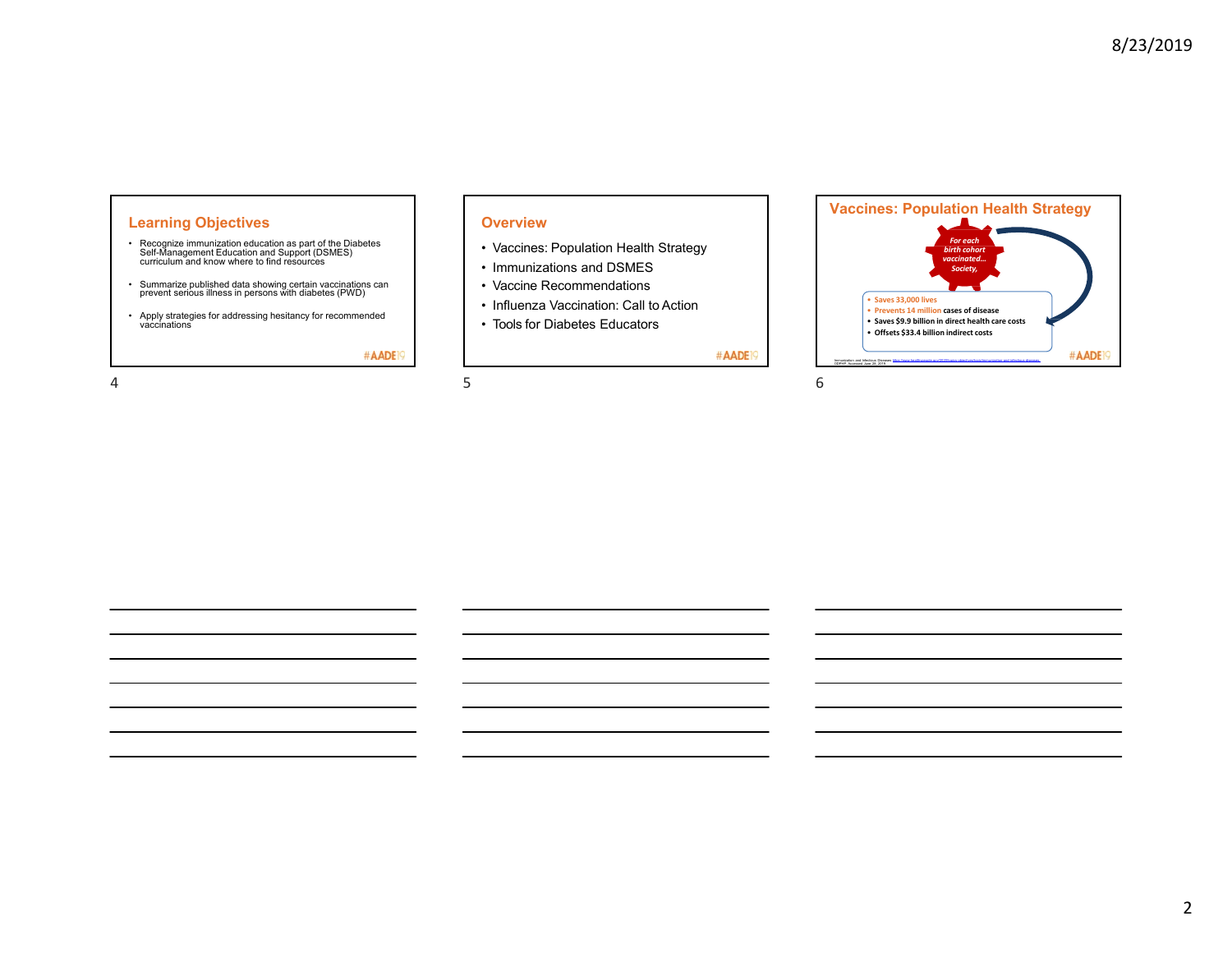#AADE

# **Learning Objectives**

- Recognize immunization education as part of the Diabetes Self-Management Education and Support (DSMES) curriculum and know where to find resources
- Summarize published data showing certain vaccinations can prevent serious illness in persons with diabetes (PWD)
- Apply strategies for addressing hesitancy for recommended vaccinations

#AADE<sup>19</sup>

 $4\,$ 

### **Overview**

- Vaccines: Population Health Strategy
- Immunizations and DSMES
- Vaccine Recommendations
- Influenza Vaccination: Call to Action
- Tools for Diabetes Educators

#AADE<sup>19</sup>

*For each birth cohort vaccinated… Society,*

**Vaccines: Population Health Strategy**

• **Saves 33,000 lives**

• **Prevents 14 million cases of disease** • **Saves \$9.9 billion in direct health care costs** • **Offsets \$33.4 billion indirect costs**

Immunization and Infectious Diseases <u>https://www.healthypeople.gov/2020/topics-objectives/topic/immunization-and-infectious-diseases.</u><br>ODPHP. Accessed June 28, 2019.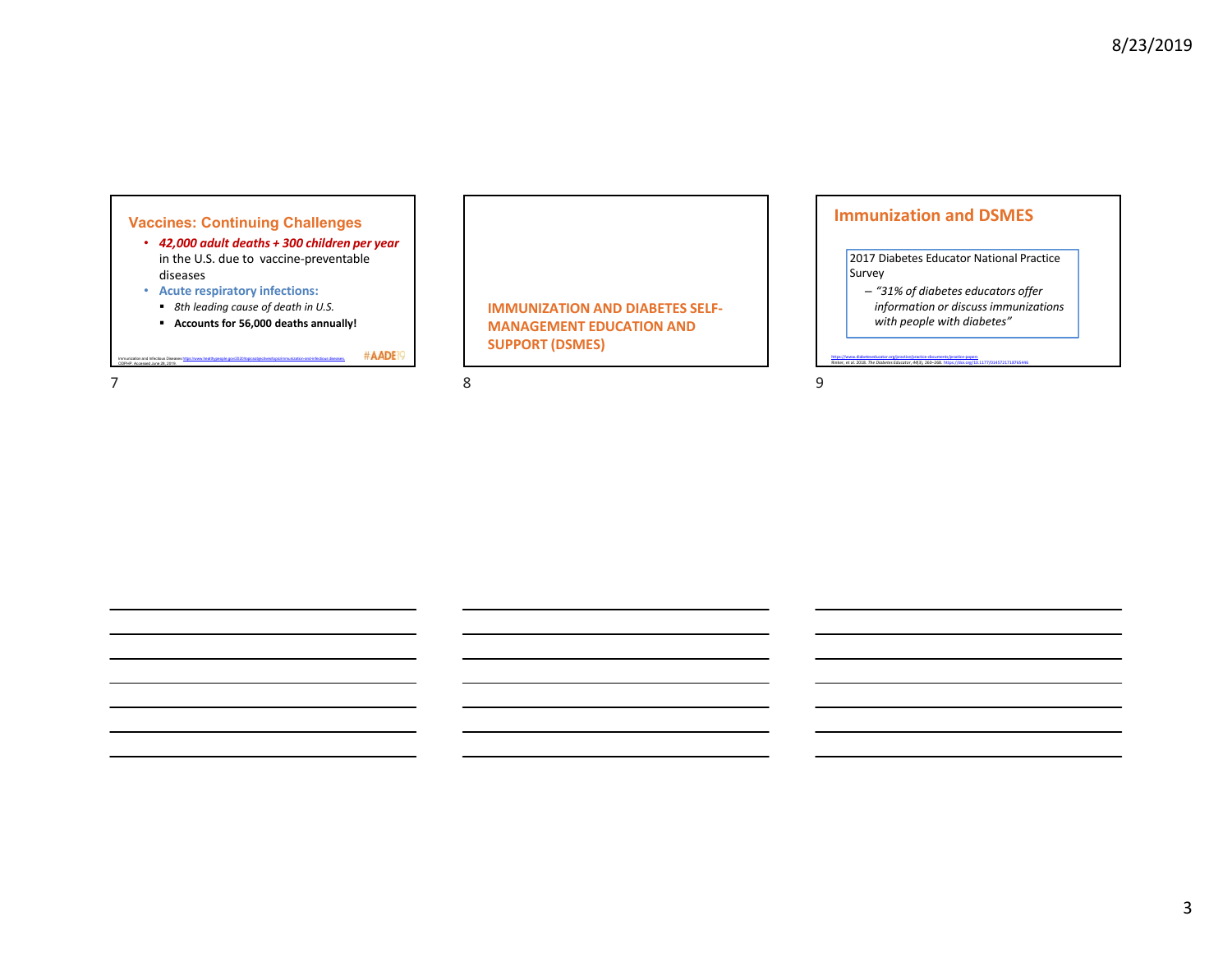# **Vaccines: Continuing Challenges**

- *42,000 adult deaths + 300 children per year*  in the U.S. due to vaccine‐preventable diseases
- **Acute respiratory infections:**

Immunization and Infectious Diseases https://www.healthypeople.gov/2020/topicsobjectives/topic/immunization-and-infectious diseases.

- *8th leading cause of death in U.S.*
- **Accounts for 56,000 deaths annually!**

**SUPPORT (DSMES)**

#AADE<sup>19</sup>

**IMMUNIZATION AND DIABETES SELF‐ MANAGEMENT EDUCATION AND** 

# **Immunization and DSMES**

2017 Diabetes Educator National Practice Survey

– *"31% of diabetes educators offer information or discuss immunizations with people with diabetes"*

https://www.diabeteseducator.org/practice/practice‐documents/practice‐papers Rinker, et al. 2018. *The Diabetes Educator*, *44*(3), 260–268. https://doi.org/10.1177/0145721718765446

789

ODPHP. Accessed June 28, 2019.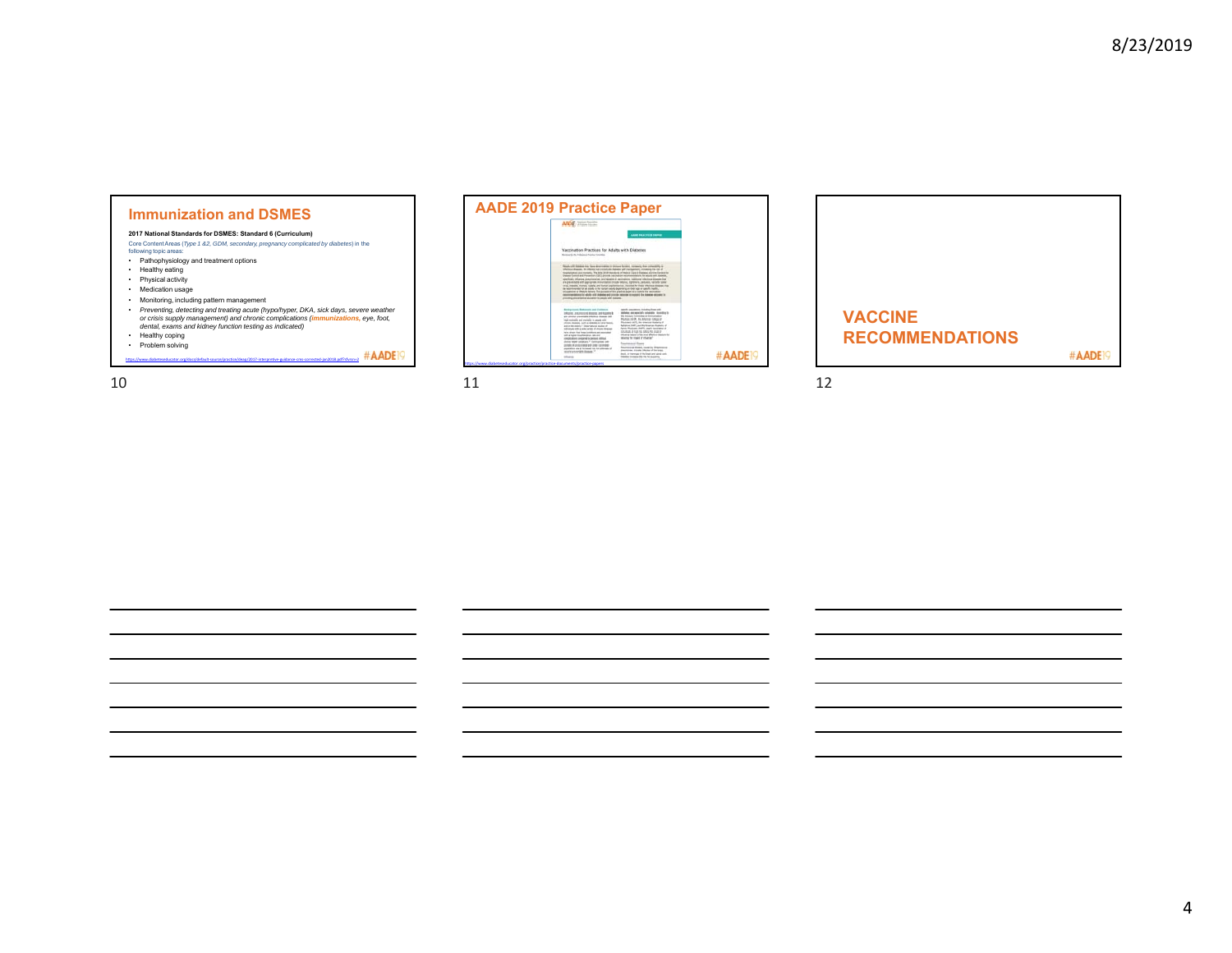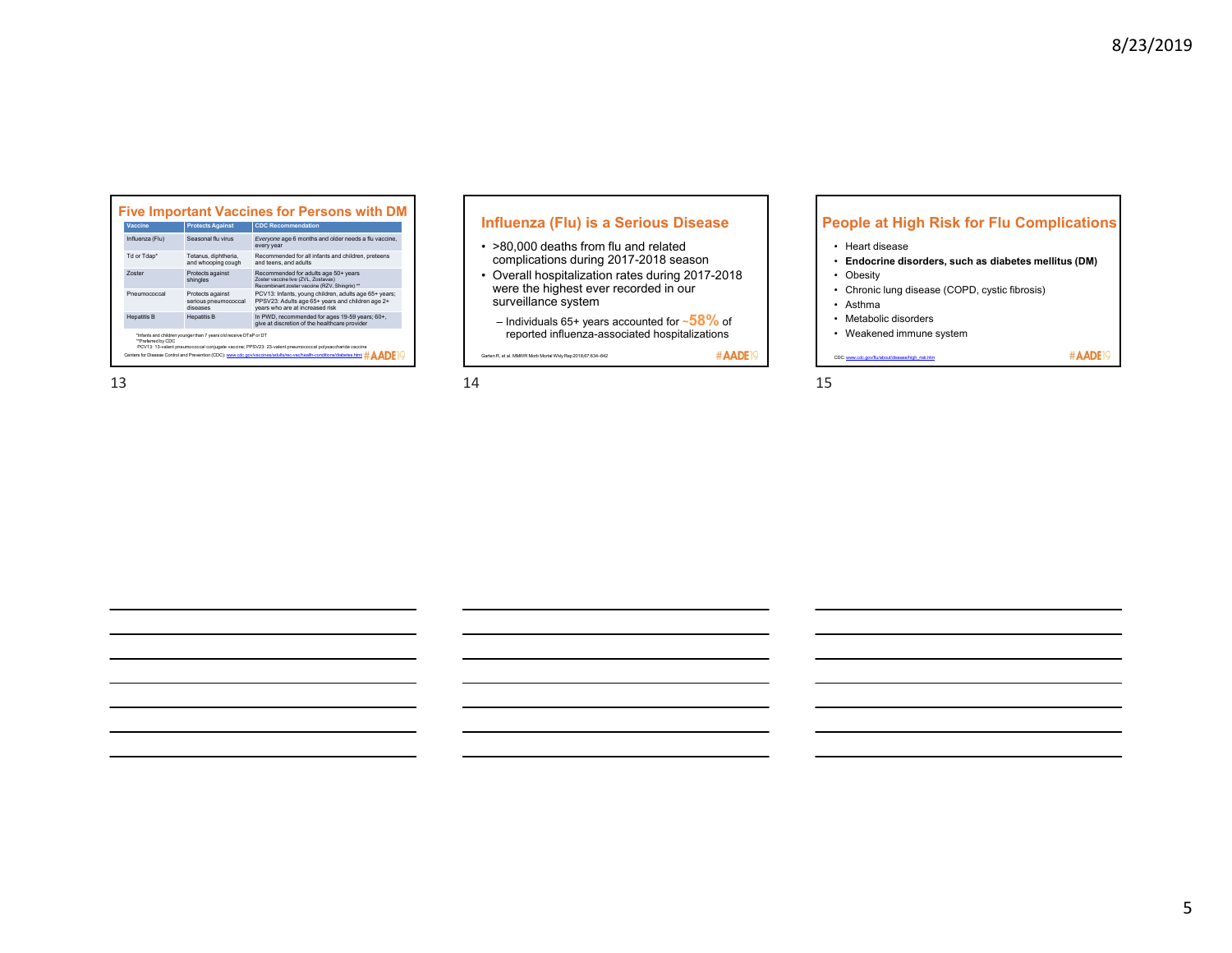| Vaccine                                                                                                                                                                                          | <b>Protects Against</b>                              | <b>CDC Recommendation</b>                                                                                                                    |  |  |  |  |
|--------------------------------------------------------------------------------------------------------------------------------------------------------------------------------------------------|------------------------------------------------------|----------------------------------------------------------------------------------------------------------------------------------------------|--|--|--|--|
| Influenza (Flu)                                                                                                                                                                                  | Seasonal flu virus                                   | Everyone age 6 months and older needs a flu vaccine,<br>every year                                                                           |  |  |  |  |
| Td or Tdap*                                                                                                                                                                                      | Tetanus, diphtheria.<br>and whooping cough           | Recommended for all infants and children, preteens<br>and teens, and adults                                                                  |  |  |  |  |
| <b>Zoster</b>                                                                                                                                                                                    | Protects against<br>shingles                         | Recommended for adults age 50+ years<br>Zoster vaccine live (ZVL, Zostavax)<br>Recombinant zoster vaccine (RZV, Shingrix) **                 |  |  |  |  |
| Pneumococcal                                                                                                                                                                                     | Protects against<br>serious pneumococcal<br>diseases | PCV13: Infants, young children, adults age 65+ years;<br>PPSV23: Adults age 65+ years and children age 2+<br>vears who are at increased risk |  |  |  |  |
| <b>Hepatitis B</b>                                                                                                                                                                               | <b>Hepatitis B</b>                                   | In PWD, recommended for ages 19-59 years: 60+.<br>give at discretion of the healthcare provider                                              |  |  |  |  |
| *Infants and children younger than 7 years old receive DTaP or DT<br>"Preferred by CDC<br>PCV13: 13-valent pneumococcal conjugate vaccine; PPSV23: 23-valent pneumococcal polysaccharide vaccine |                                                      |                                                                                                                                              |  |  |  |  |

# **Influenza (Flu) is a Serious Disease**

- >80,000 deaths from flu and related complications during 2017-2018 season
- Overall hospitalization rates during 2017-2018 were the highest ever recorded in our surveillance system
	- Individuals 65+ years accounted for **~58%** of reported influenza-associated hospitalizations

Garten R, et al. MMWR Morb Mortal Wkly Rep2018;67:634–642

# **People at High Risk for Flu Complications**

- Heart disease
- **Endocrine disorders, such as diabetes mellitus (DM)**
- Obesity
- Chronic lung disease (COPD, cystic fibrosis)
- Asthma
- Metabolic disorders

CDC: www.cdc.gov/flu/about/disease/high\_risk.htm

• Weakened immune system

#AADE<sup>19</sup>

#### $13$  13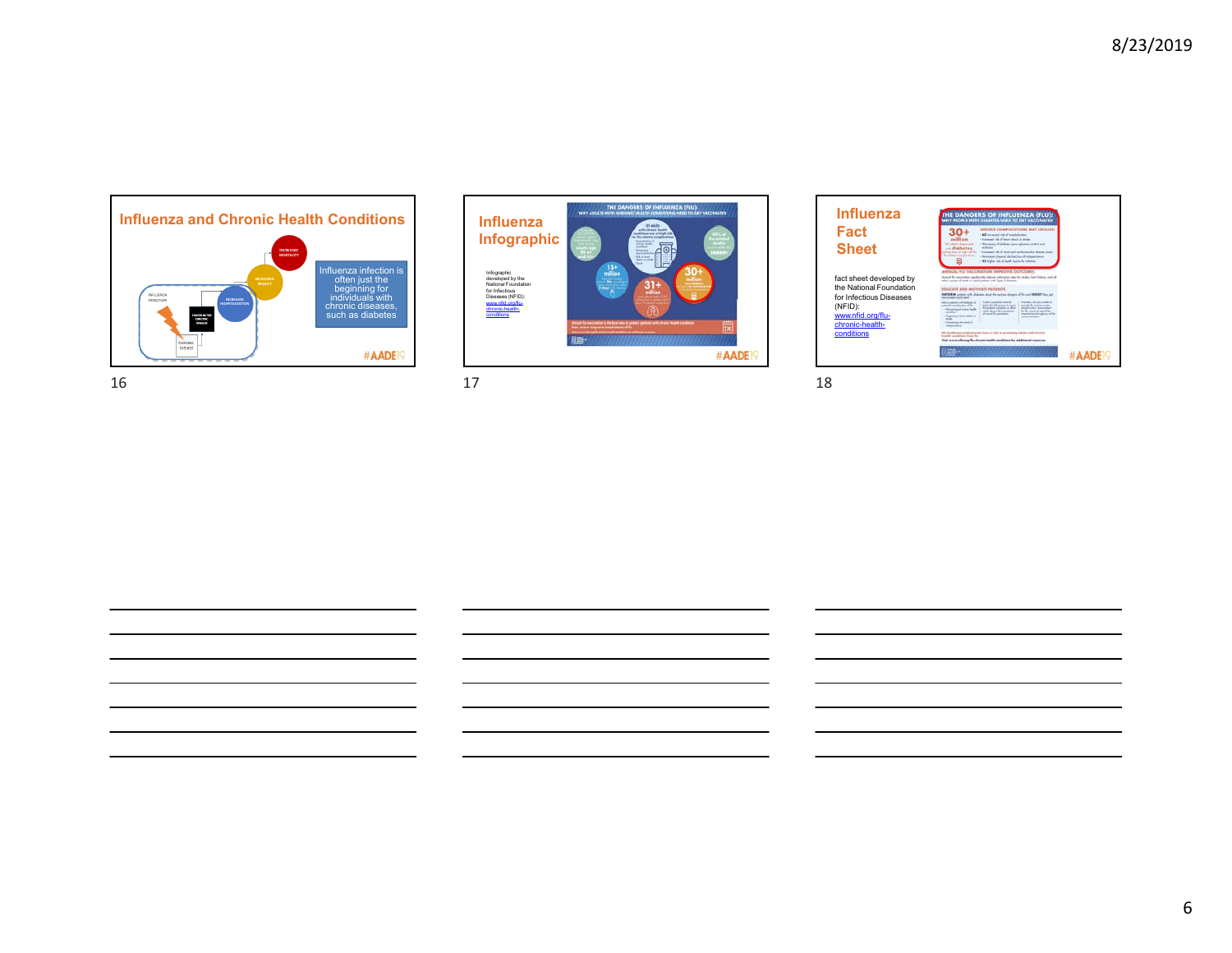



 $16$  and  $17$  and  $18$ 

| <b>Influenza</b>                                |                                                                                                                                                                                                    | WHY PEOPLE WITH DIABETES NEED TO GET VACCINATED                                                                                                                                                                        |                                                                                                                                                                   |  |
|-------------------------------------------------|----------------------------------------------------------------------------------------------------------------------------------------------------------------------------------------------------|------------------------------------------------------------------------------------------------------------------------------------------------------------------------------------------------------------------------|-------------------------------------------------------------------------------------------------------------------------------------------------------------------|--|
| Fact                                            | million<br>US addressinguard                                                                                                                                                                       | SERIOUS COMPUCATIONS MAY INCLUDE<br>· 6X increased risk of hespitalization<br>· Increased risk of beast struck or stoke<br>· Warsening of diobetes (poor glycenic control and                                          |                                                                                                                                                                   |  |
| <b>Sheet</b>                                    | andiabotos.<br><b>Burniched</b> complement<br>團                                                                                                                                                    | ecidents<br>other than or high visit for - + between this of meal and confessionly channe beam<br>· Permanent abusing decline/loss of independence<br>- SX higher risk of death due to be infection.                   |                                                                                                                                                                   |  |
| fact sheet developed by                         |                                                                                                                                                                                                    | ANALISA ELI) USPPINJATIONI IMPOOUTE OUTPOMER<br>Around the manusculate standings the backet and adventure research as attracts, beauty balance, and all<br>after course of death in which preferes with New 2 Molemma. |                                                                                                                                                                   |  |
| the National Foundation                         | <b>EDUCATE ANN MITFUARE PATIENTS</b>                                                                                                                                                               |                                                                                                                                                                                                                        |                                                                                                                                                                   |  |
| for Infectious Diseases                         | has find taking<br>Area policity with disjoners of                                                                                                                                                 | DIFORM potent with dislams desar for actions designs of fix and DIFORT free pat<br>Context provided neededge                                                                                                           | Reaching after that untildly to                                                                                                                                   |  |
| (NFID):<br>www.nfid.org/flu-<br>chronic-health- | offering complement dates<br>· Western production in the AT<br><b>COMPANY</b><br>Theatrica in basic about an<br>$-1$<br><sup>2</sup> Transferry Auto Seal of<br><b><i><u>School Arrest</u></i></b> | teal to the lot person to arrange<br><b>Between shake a disc</b><br>starts there by intermed.<br>of money the presentials                                                                                              | terestic furnished permit<br><b>Should selling Termstaked</b><br>the No wentier to regard the<br>Importante and collective at the<br><b>Contractor Contractor</b> |  |
| conditions                                      | <b>South conditions from By</b>                                                                                                                                                                    | All localiticans analysisments have a toda in accounting solution with chosen                                                                                                                                          |                                                                                                                                                                   |  |
|                                                 |                                                                                                                                                                                                    | that www.afd.arg/fundament-basility.com/titure for additional resources.                                                                                                                                               |                                                                                                                                                                   |  |
|                                                 |                                                                                                                                                                                                    |                                                                                                                                                                                                                        |                                                                                                                                                                   |  |

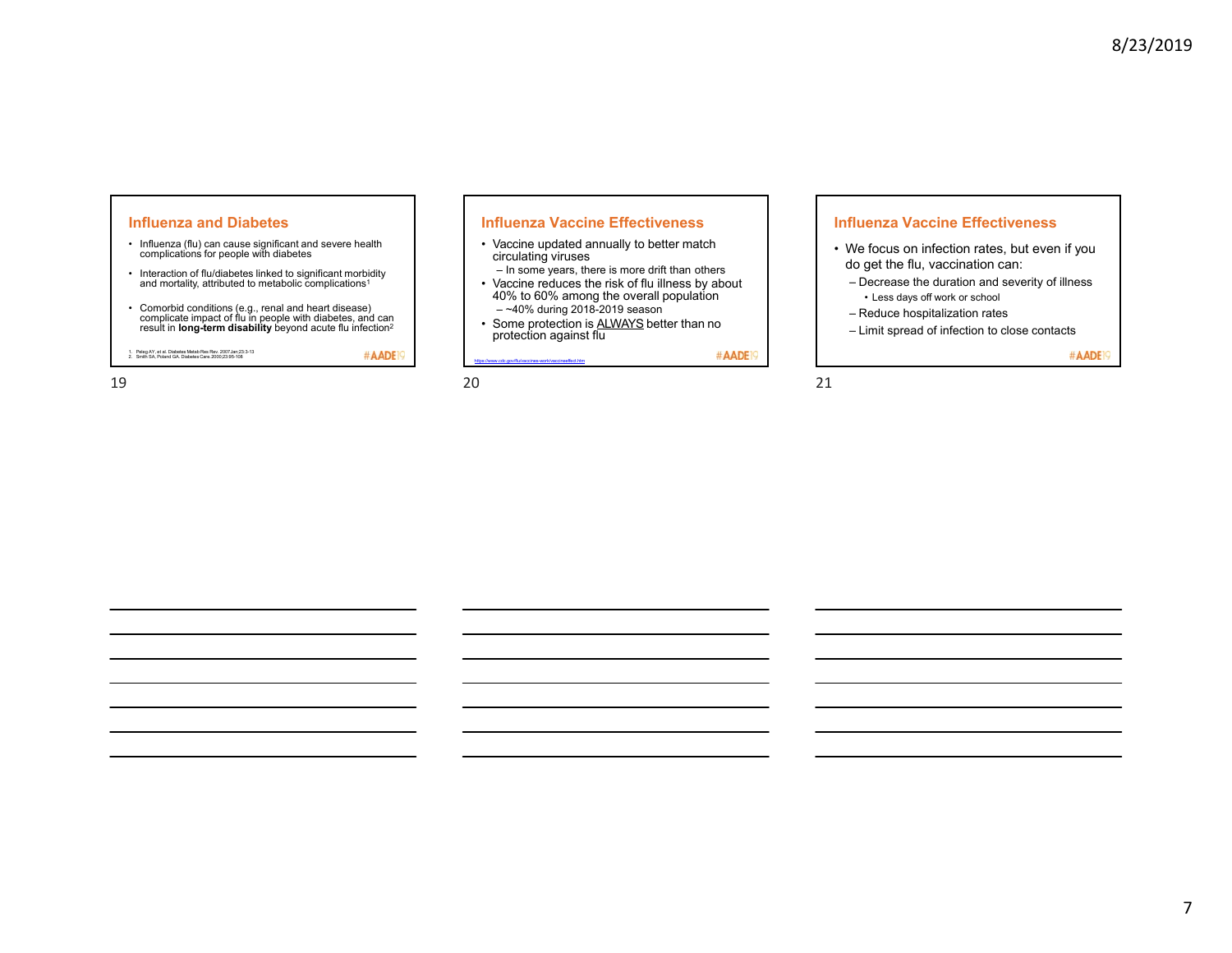### **Influenza and Diabetes**

- Influenza (flu) can cause significant and severe health complications for people with diabetes
- Interaction of flu/diabetes linked to significant morbidity and mortality, attributed to metabolic complications1
- Comorbid conditions (e.g., renal and heart disease) complicate impact of flu in people with diabetes, and can result in **long-term disability** beyond acute flu infection2

1. Peleg AY, et al. Diabetes Metab Res Rev. 2007Jan;23:3-13 2. Smith SA, Poland GA. Diabetes Care.2000;23:95-108

#AADE<sup>19</sup>

### **Influenza Vaccine Effectiveness**

- Vaccine updated annually to better match circulating viruses
- In some years, there is more drift than others Vaccine reduces the risk of flu illness by about 40% to 60% among the overall population
- ~40% during 2018-2019 season
- Some protection is ALWAYS better than no protection against flu

https://www.cdc.gov/flu/vaccines-work/vaccineeffect.htm

#AADE<sup>19</sup>

### **Influenza Vaccine Effectiveness**

- We focus on infection rates, but even if you do get the flu, vaccination can:
- Decrease the duration and severity of illness • Less days off work or school
- Reduce hospitalization rates
- Limit spread of infection to close contacts

#AADE<sup>19</sup>

#### $19$  20  $21$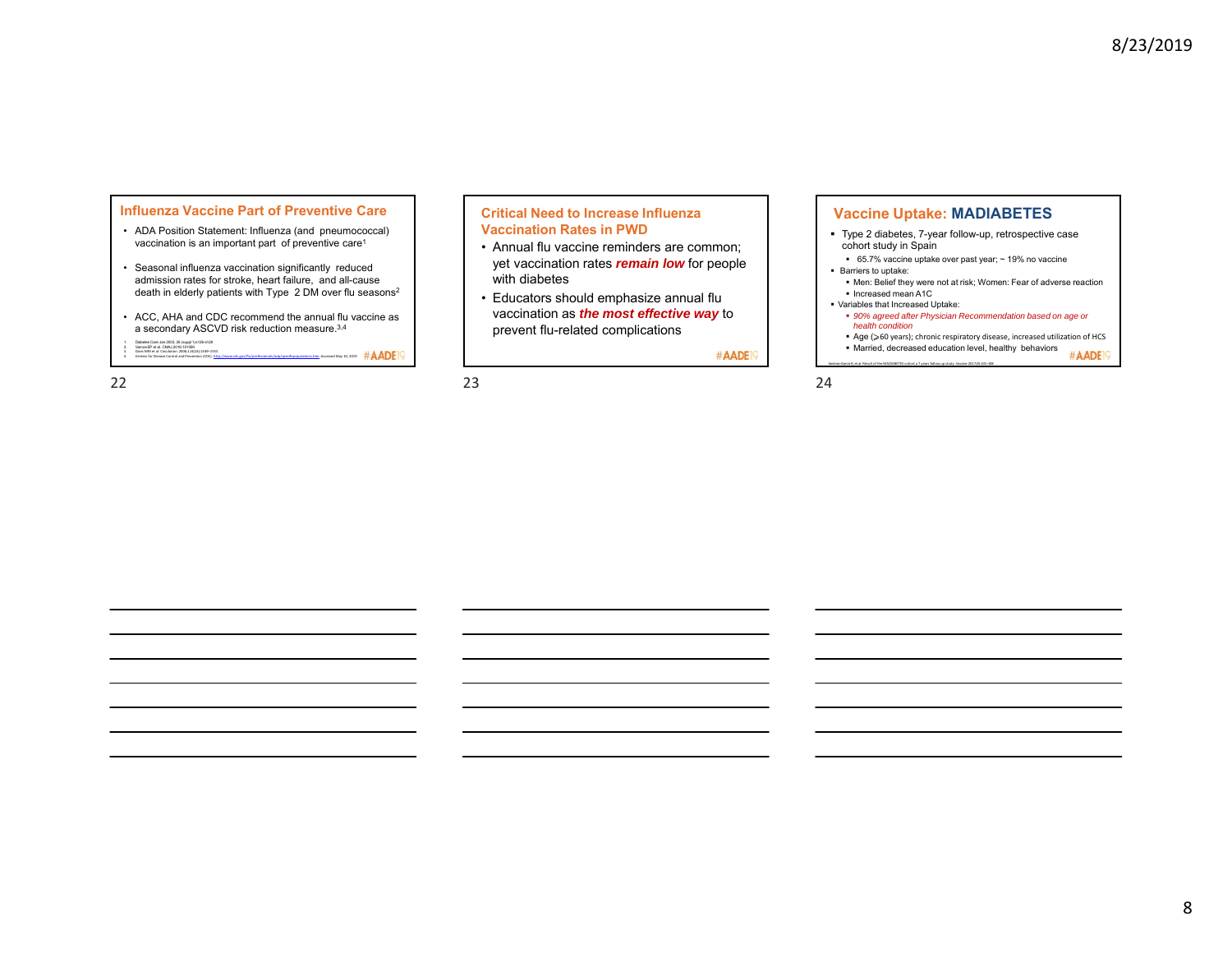#### **Influenza Vaccine Part of Preventive Care**

- ADA Position Statement: Influenza (and pneumococcal) vaccination is an important part of preventive care<sup>1</sup>
- Seasonal influenza vaccination significantly reduced admission rates for stroke, heart failure, and all-cause death in elderly patients with Type 2 DM over flu seasons<sup>2</sup>
- ACC, AHA and CDC recommend the annual flu vaccine as a secondary ASCVD risk reduction measure.3,4
- 1. Diabetes Care Jan 2003, 26 (suppl 1)s126-s128 2. VamosEP et al. CMAJ,2016;151059 3. Davis MM et al. Circulation. 2006;114(14):1549–1553 4. Centers For Discount Control and Prevention (CDC).<br>4. Devis MM et al. Croakers, 2005;14(ap. 1945–1953)<br>4. Centers for Disease Control and Prevention (CDC). http://www.cdc.gov/flu/professional/acip/specificpopulations.ht

### **Critical Need to Increase Influenza Vaccination Rates in PWD**

- Annual flu vaccine reminders are common; yet vaccination rates *remain low* for people with diabetes
- Educators should emphasize annual flu vaccination as *the most effective way* to prevent flu-related complications

#AADE<sup>19</sup>

**Vaccine Uptake: MADIABETES** Type 2 diabetes, 7-year follow-up, retrospective case cohort study in Spain

- 65.7% vaccine uptake over past year; ~ 19% no vaccine Barriers to uptake:
- Men: Belief they were not at risk; Women: Fear of adverse reaction ■ Increased mean A1C
- Variables that Increased Uptake:

Jiménez‐Garcia R, et al. Result of the MADIABETES cohort a 7 years follow up study. Vaccine.2017;35:101–108

- *90% agreed after Physician Recommendation based on age or health condition*
- Age (≥60 years); chronic respiratory disease, increased utilization of HCS Married, decreased education level, healthy behaviors

#AADE<sup>19</sup>

 $22$  23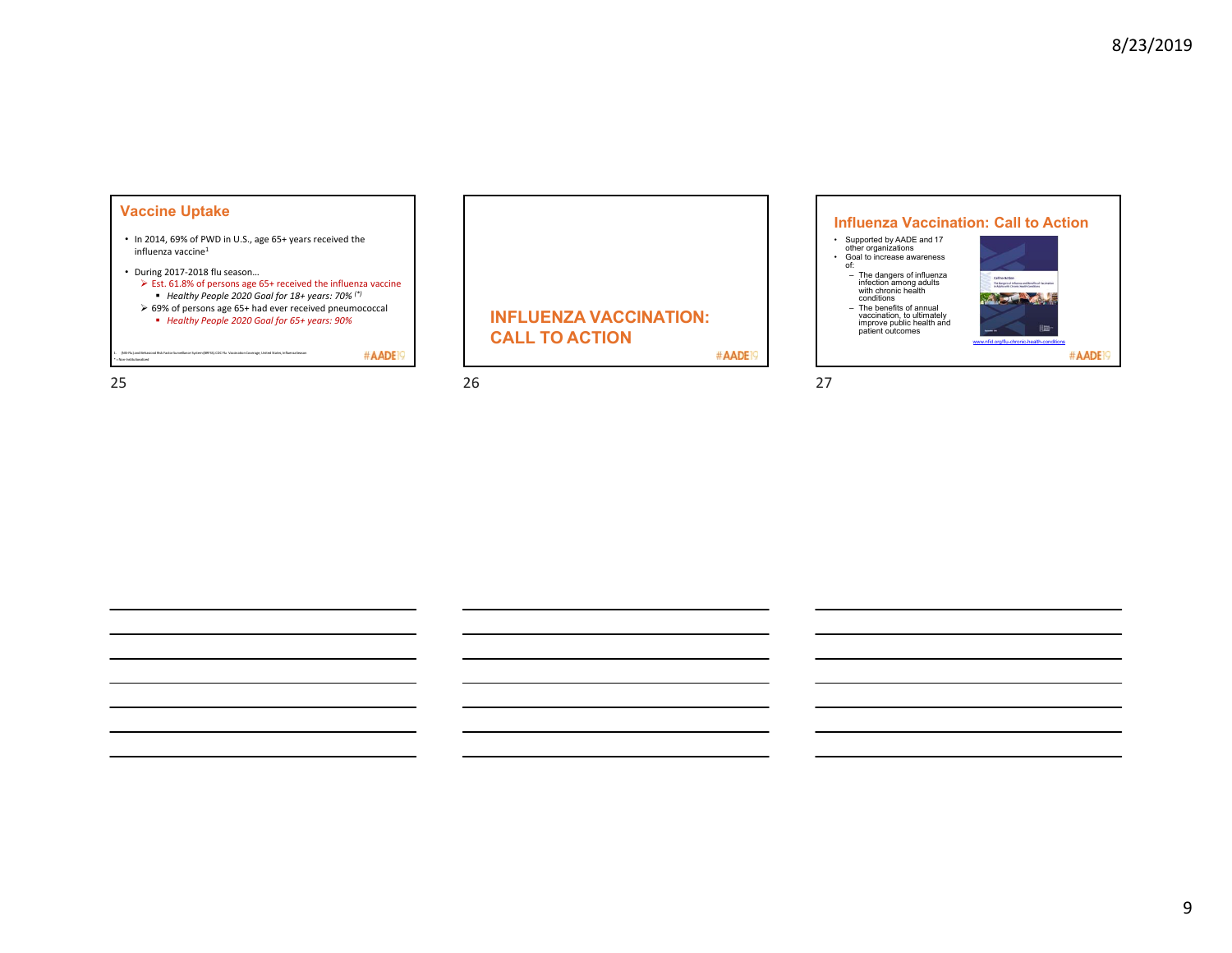# **Vaccine Uptake**

- In 2014, 69% of PWD in U.S., age 65+ years received the influenza vaccine1
- During 2017‐2018 flu season…  $\triangleright$  Est. 61.8% of persons age 65+ received the influenza vaccine *Healthy People 2020 Goal for 18+ years: 70% (\*)*
	- 69% of persons age 65+ had ever received pneumococcal
	- *Healthy People 2020 Goal for 65+ years: 90%*

| 1. (NS-Flu) and Behavioral Risk Factor Surveillance System (BRFSS).CDC Flu Vaccination Coverage, United States, Influenza Season<br>* - Non-Institutionalized | #AADE |
|---------------------------------------------------------------------------------------------------------------------------------------------------------------|-------|
|                                                                                                                                                               |       |

25  $26$ 

**INFLUENZA VACCINATION: CALL TO ACTION**

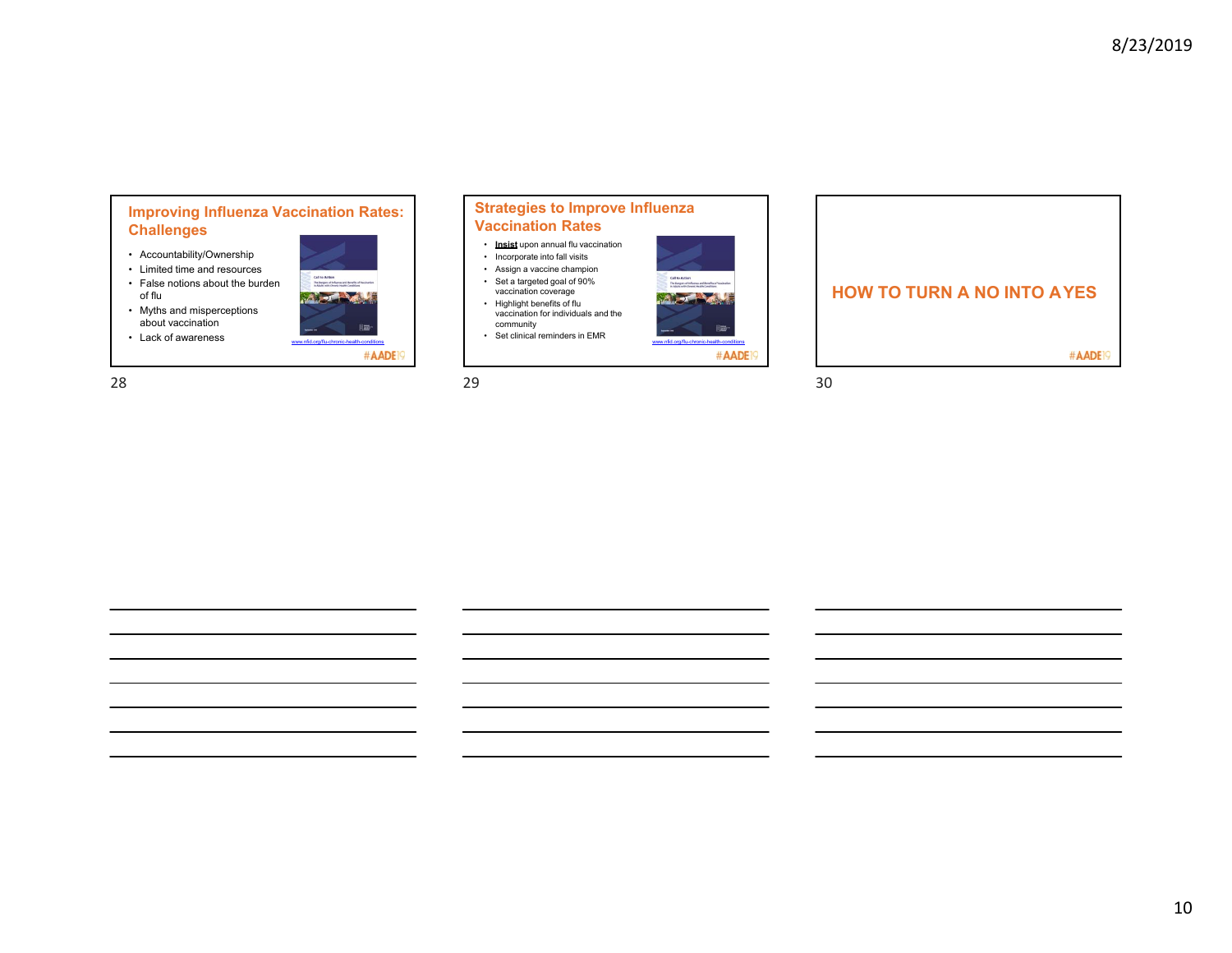# **Improving Influenza Vaccination Rates: Challenges**

- Accountability/Ownership
- Limited time and resources
- False notions about the burden of flu
- Myths and misperceptions about vaccination
- 







**HOW TO TURN A NO INTO AYES**#AADE<sup>19</sup>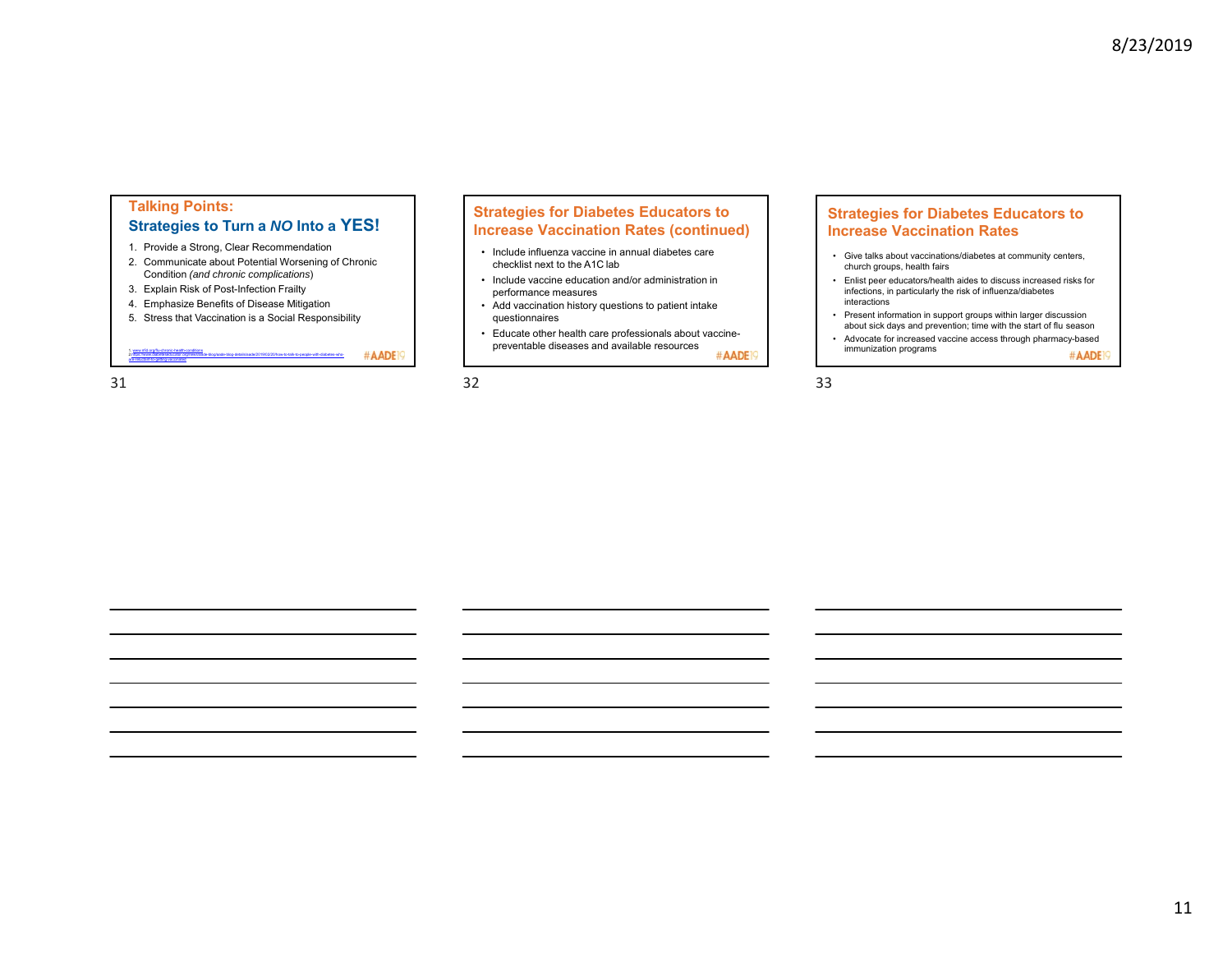# **Talking Points: Strategies to Turn a** *NO* **Into a YES!**

- 1. Provide a Strong, Clear Recommendation
- 2. Communicate about Potential Worsening of Chronic Condition *(and chronic complications*)
- 3. Explain Risk of Post-Infection Frailty
- 4. Emphasize Benefits of Disease Mitigation
- 5. Stress that Vaccination is a Social Responsibility

2.https://www.diabeteseducator.org/news/aade-blog/aade-blog-details/aade/2019/02/20/how-to-talk-to-people-with-diabetes-who-

www.nfid.org/flu-chronic-health-conditions

are-reluctant-to-getting-vaccinated

## **Strategies for Diabetes Educators to Increase Vaccination Rates (continued)**

- Include influenza vaccine in annual diabetes care checklist next to the A1C lab
- Include vaccine education and/or administration in performance measures
- Add vaccination history questions to patient intake
- questionnaires
- Educate other health care professionals about vaccinepreventable diseases and available resources #AADE<sup>19</sup>

#### $31$   $32$   $33$

#AADE<sup>19</sup>

# **Strategies for Diabetes Educators to Increase Vaccination Rates**

- Give talks about vaccinations/diabetes at community centers, church groups, health fairs
- Enlist peer educators/health aides to discuss increased risks for infections, in particularly the risk of influenza/diabetes interactions
- Present information in support groups within larger discussion about sick days and prevention; time with the start of flu season
- Advocate for increased vaccine access through pharmacy-based immunization programs #AADE<sup>19</sup>